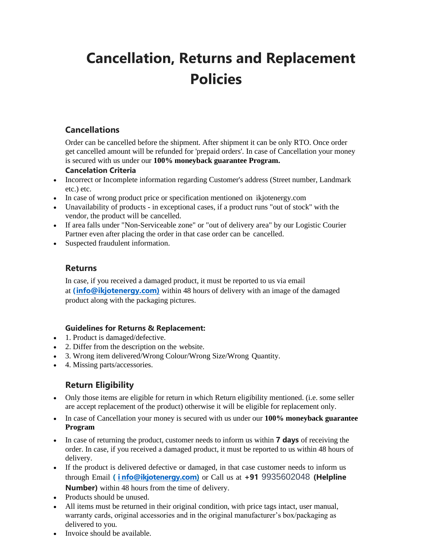# **Cancellation, Returns and Replacement Policies**

## **Cancellations**

Order can be cancelled before the shipment. After shipment it can be only RTO. Once order get cancelled amount will be refunded for 'prepaid orders'. In case of Cancellation your money is secured with us under our **100% moneyback guarantee Program.**

#### **Cancelation Criteria**

- Incorrect or Incomplete information regarding Customer's address (Street number, Landmark etc.) etc.
- In case of wrong product price or specification mentioned on ikjotenergy.com
- Unavailability of products in exceptional cases, if a product runs "out of stock" with the vendor, the product will be cancelled.
- If area falls under "Non-Serviceable zone" or "out of delivery area" by our Logistic Courier Partner even after placing the order in that case order can be cancelled.
- Suspected fraudulent information.

#### **Returns**

In case, if you received a damaged product, it must be reported to us via email at **(info@ikjotenergy.com)** within 48 hours of delivery with an image of the damaged product along with the packaging pictures.

#### **Guidelines for Returns & Replacement:**

- 1. Product is damaged/defective.
- 2. Differ from the description on the website.
- 3. Wrong item delivered/Wrong Colour/Wrong Size/Wrong Quantity.
- 4. Missing parts/accessories.

# **Return Eligibility**

- Only those items are eligible for return in which Return eligibility mentioned. (i.e. some seller are accept replacement of the product) otherwise it will be eligible for replacement only.
- In case of Cancellation your money is secured with us under our **100% moneyback guarantee Program**
- In case of returning the product, customer needs to inform us within **7 days** of receiving the order. In case, if you received a damaged product, it must be reported to us within 48 hours of delivery.
- If the product is delivered defective or damaged, in that case customer needs to inform us through Email **( i nfo@ikjotenergy.com)** or Call us at **+91** 9935602048 **(Helpline Number)** within 48 hours from the time of delivery.
- Products should be unused.
- All items must be returned in their original condition, with price tags intact, user manual, warranty cards, original accessories and in the original manufacturer's box/packaging as delivered to you.
- Invoice should be available.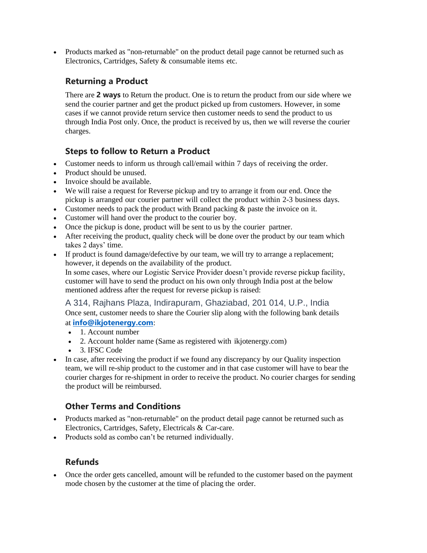• Products marked as "non-returnable" on the product detail page cannot be returned such as Electronics, Cartridges, Safety & consumable items etc.

## **Returning a Product**

There are **2 ways** to Return the product. One is to return the product from our side where we send the courier partner and get the product picked up from customers. However, in some cases if we cannot provide return service then customer needs to send the product to us through India Post only. Once, the product is received by us, then we will reverse the courier charges.

# **Steps to follow to Return a Product**

- Customer needs to inform us through call/email within 7 days of receiving the order.
- Product should be unused.
- Invoice should be available.
- We will raise a request for Reverse pickup and try to arrange it from our end. Once the pickup is arranged our courier partner will collect the product within 2-3 business days.
- Customer needs to pack the product with Brand packing & paste the invoice on it.
- Customer will hand over the product to the courier boy.
- Once the pickup is done, product will be sent to us by the courier partner.
- After receiving the product, quality check will be done over the product by our team which takes 2 days' time.
- If product is found damage/defective by our team, we will try to arrange a replacement; however, it depends on the availability of the product.

In some cases, where our Logistic Service Provider doesn't provide reverse pickup facility, customer will have to send the product on his own only through India post at the below mentioned address after the request for reverse pickup is raised:

A 314, Rajhans Plaza, Indirapuram, Ghaziabad, 201 014, U.P., India Once sent, customer needs to share the Courier slip along with the following bank details at **[info@ikjotenergy.com](mailto:nfo@ikjotenergy.com)**:

- 1. Account number
- 2. Account holder name (Same as registered with ikjotenergy.com)
- 3. IFSC Code
- In case, after receiving the product if we found any discrepancy by our Quality inspection team, we will re-ship product to the customer and in that case customer will have to bear the courier charges for re-shipment in order to receive the product. No courier charges for sending the product will be reimbursed.

#### **Other Terms and Conditions**

- Products marked as "non-returnable" on the product detail page cannot be returned such as Electronics, Cartridges, Safety, Electricals & Car-care.
- Products sold as combo can't be returned individually.

#### **Refunds**

• Once the order gets cancelled, amount will be refunded to the customer based on the payment mode chosen by the customer at the time of placing the order.